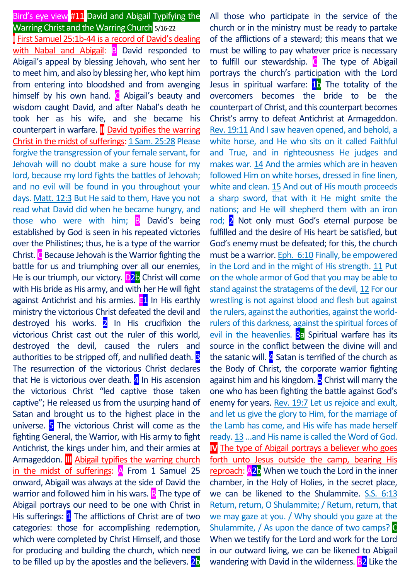# Bird's eye view #11 David and Abigail Typifying the Warring Christ and the Warring Church 5/16-22

**I** First Samuel 25:1b-44 is a record of David's dealing with Nabal and Abigail: **B** David responded to Abigail's appeal by blessing Jehovah, who sent her to meet him, and also by blessing her, who kept him from entering into bloodshed and from avenging himself by his own hand.  $\bullet$  Abigail's beauty and wisdom caught David, and after Nabal's death he took her as his wife, and she became his counterpart in warfare. **II** David typifies the warring Christ in the midst of sufferings: 1 Sam. 25:28 Please forgive the transgression of your female servant, for Jehovah will no doubt make a sure house for my lord, because my lord fights the battles of Jehovah; and no evil will be found in you throughout your days. Matt. 12:3 But He said to them, Have you not read what David did when he became hungry, and those who were with him; B David's being established by God is seen in his repeated victories over the Philistines; thus, he is a type of the warrior Christ.  $C$  Because Jehovah is the Warrior fighting the battle for us and triumphing over all our enemies, He is our triumph, our victory. D<sub>2</sub>b Christ will come with His bride as His army, and with her He will fight against Antichrist and his armies.  $E1$  In His earthly ministry the victorious Christ defeated the devil and destroyed his works.  $2$  In His crucifixion the victorious Christ cast out the ruler of this world, destroyed the devil, caused the rulers and authorities to be stripped off, and nullified death. **3** The resurrection of the victorious Christ declares that He is victorious over death.  $4$  In His ascension the victorious Christ "led captive those taken captive"; He released us from the usurping hand of Satan and brought us to the highest place in the universe. 5 The victorious Christ will come as the fighting General, the Warrior, with His army to fight Antichrist, the kings under him, and their armies at Armageddon. **III** Abigail typifies the warring church in the midst of sufferings:  $\overline{A}$  From 1 Samuel 25 onward, Abigail was always at the side of David the warrior and followed him in his wars.  $\overline{B}$  The type of Abigail portrays our need to be one with Christ in His sufferings: 1 The afflictions of Christ are of two categories: those for accomplishing redemption, which were completed by Christ Himself, and those for producing and building the church, which need to be filled up by the apostles and the believers. 2b

All those who participate in the service of the church or in the ministry must be ready to partake of the afflictions of a steward; this means that we must be willing to pay whatever price is necessary to fulfill our stewardship.  $\bullet$  The type of Abigail portrays the church's participation with the Lord Jesus in spiritual warfare:  $1b$  The totality of the overcomers becomes the bride to be the counterpart of Christ, and this counterpart becomes Christ's army to defeat Antichrist at Armageddon. Rev. 19:11 And I saw heaven opened, and behold, a white horse, and He who sits on it called Faithful and True, and in righteousness He judges and makes war. 14 And the armies which are in heaven followed Him on white horses, dressed in fine linen, white and clean. 15 And out of His mouth proceeds a sharp sword, that with it He might smite the nations; and He will shepherd them with an iron rod; 2 Not only must God's eternal purpose be fulfilled and the desire of His heart be satisfied, but God's enemy must be defeated; for this, the church must be a warrior. Eph. 6:10 Finally, be empowered in the Lord and in the might of His strength. 11 Put on the whole armor of God that you may be able to stand against the stratagems of the devil, 12 For our wrestling is not against blood and flesh but against the rulers, against the authorities, against the worldrulers of this darkness, against the spiritual forces of evil in the heavenlies. **3a** Spiritual warfare has its source in the conflict between the divine will and the satanic will.  $4$  Satan is terrified of the church as the Body of Christ, the corporate warrior fighting against him and his kingdom. **5** Christ will marry the one who has been fighting the battle against God's enemy for years. Rev. 19:7 Let us rejoice and exult, and let us give the glory to Him, for the marriage of the Lamb has come, and His wife has made herself ready. 13 …and His name is called the Word of God. **IV** The type of Abigail portrays a believer who goes forth unto Jesus outside the camp, bearing His reproach: A2b When we touch the Lord in the inner chamber, in the Holy of Holies, in the secret place, we can be likened to the Shulammite. S.S. 6:13 Return, return, O Shulammite; / Return, return, that we may gaze at you. / Why should you gaze at the Shulammite, / As upon the dance of two camps? When we testify for the Lord and work for the Lord in our outward living, we can be likened to Abigail wandering with David in the wilderness. **B2** Like the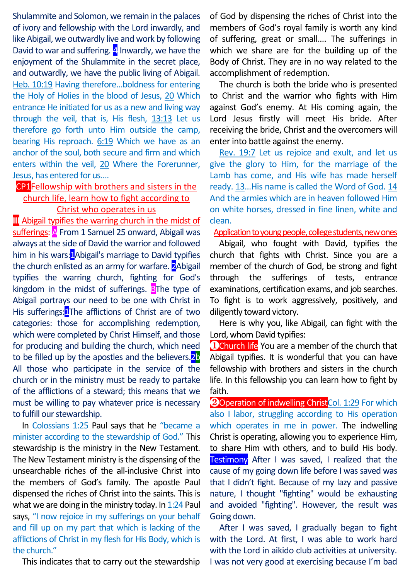Shulammite and Solomon, we remain in the palaces of ivory and fellowship with the Lord inwardly, and like Abigail, we outwardly live and work by following David to war and suffering.  $4$  Inwardly, we have the enjoyment of the Shulammite in the secret place, and outwardly, we have the public living of Abigail. Heb. 10:19 Having therefore…boldness for entering the Holy of Holies in the blood of Jesus, 20 Which entrance He initiated for us as a new and living way through the veil, that is, His flesh, 13:13 Let us therefore go forth unto Him outside the camp, bearing His reproach. 6:19 Which we have as an anchor of the soul, both secure and firm and which enters within the veil, 20 Where the Forerunner, Jesus, has entered for us….

CP1Fellowship with brothers and sisters in the

### church life, learn how to fight according to Christ who operates in us

**III** Abigail typifies the warring church in the midst of sufferings: A From 1 Samuel 25 onward, Abigail was always at the side of David the warrior and followed him in his wars:1Abigail's marriage to David typifies the church enlisted as an army for warfare. 2Abigail typifies the warring church, fighting for God's kingdom in the midst of sufferings. BThe type of Abigail portrays our need to be one with Christ in His sufferings:<sup>1</sup>The afflictions of Christ are of two categories: those for accomplishing redemption, which were completed by Christ Himself, and those for producing and building the church, which need to be filled up by the apostles and the believers.<sup>2b</sup> All those who participate in the service of the church or in the ministry must be ready to partake of the afflictions of a steward; this means that we must be willing to pay whatever price is necessary to fulfill our stewardship.

In Colossians 1:25 Paul says that he "became a minister according to the stewardship of God." This stewardship is the ministry in the New Testament. The New Testament ministry is the dispensing of the unsearchable riches of the all-inclusive Christ into the members of God's family. The apostle Paul dispensed the riches of Christ into the saints. This is what we are doing in the ministry today. In 1:24 Paul says, "I now rejoice in my sufferings on your behalf and fill up on my part that which is lacking of the afflictions of Christ in my flesh for His Body, which is the church."

This indicates that to carry out the stewardship

of God by dispensing the riches of Christ into the members of God's royal family is worth any kind of suffering, great or small…. The sufferings in which we share are for the building up of the Body of Christ. They are in no way related to the accomplishment of redemption.

The church is both the bride who is presented to Christ and the warrior who fights with Him against God's enemy. At His coming again, the Lord Jesus firstly will meet His bride. After receiving the bride, Christ and the overcomers will enter into battle against the enemy.

Rev. 19:7 Let us rejoice and exult, and let us give the glory to Him, for the marriage of the Lamb has come, and His wife has made herself ready. 13…His name is called the Word of God. 14 And the armies which are in heaven followed Him on white horses, dressed in fine linen, white and clean.

#### Application to young people, college students, new ones

Abigail, who fought with David, typifies the church that fights with Christ. Since you are a member of the church of God, be strong and fight through the sufferings of tests, entrance examinations, certification exams, and job searches. To fight is to work aggressively, positively, and diligently toward victory.

Here is why you, like Abigail, can fight with the Lord, whom David typifies:

**OChurch life** You are a member of the church that Abigail typifies. It is wonderful that you can have fellowship with brothers and sisters in the church life. In this fellowship you can learn how to fight by faith.

**2**Operation of indwelling Christ<sub>Col.</sub> 1:29 For which also I labor, struggling according to His operation which operates in me in power. The indwelling Christ is operating, allowing you to experience Him, to share Him with others, and to build His body. Testimony After I was saved, I realized that the cause of my going down life before I was saved was that I didn't fight. Because of my lazy and passive nature, I thought "fighting" would be exhausting and avoided "fighting". However, the result was Going down.

After I was saved, I gradually began to fight with the Lord. At first, I was able to work hard with the Lord in aikido club activities at university. I was not very good at exercising because I'm bad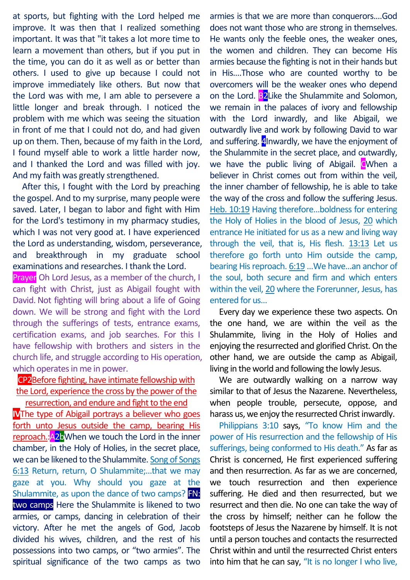at sports, but fighting with the Lord helped me improve. It was then that I realized something important. It was that "it takes a lot more time to learn a movement than others, but if you put in the time, you can do it as well as or better than others. I used to give up because I could not improve immediately like others. But now that the Lord was with me, I am able to persevere a little longer and break through. I noticed the problem with me which was seeing the situation in front of me that I could not do, and had given up on them. Then, because of my faith in the Lord, I found myself able to work a little harder now, and I thanked the Lord and was filled with joy. And my faith was greatly strengthened.

After this, I fought with the Lord by preaching the gospel. And to my surprise, many people were saved. Later, I began to labor and fight with Him for the Lord's testimony in my pharmacy studies, which I was not very good at. I have experienced the Lord as understanding, wisdom, perseverance, and breakthrough in my graduate school examinations and researches. I thank the Lord.

Prayer Oh Lord Jesus, as a member of the church, I can fight with Christ, just as Abigail fought with David. Not fighting will bring about a life of Going down. We will be strong and fight with the Lord through the sufferings of tests, entrance exams, certification exams, and job searches. For this I have fellowship with brothers and sisters in the church life, and struggle according to His operation, which operates in me in power.

## CP2Before fighting, have intimate fellowship with the Lord, experience the cross by the power of the resurrection, and endure and fight to the end

**IV**The type of Abigail portrays a believer who goes forth unto Jesus outside the camp, bearing His reproach.: A<sub>2</sub>bWhen we touch the Lord in the inner chamber, in the Holy of Holies, in the secret place, we can be likened to the Shulammite. Song of Songs 6:13 Return, return, O Shulammite;…that we may gaze at you. Why should you gaze at the Shulammite, as upon the dance of two camps? FN: two camps Here the Shulammite is likened to two armies, or camps, dancing in celebration of their victory. After he met the angels of God, Jacob divided his wives, children, and the rest of his possessions into two camps, or "two armies". The spiritual significance of the two camps as two

armies is that we are more than conquerors.…God does not want those who are strong in themselves. He wants only the feeble ones, the weaker ones, the women and children. They can become His armies because the fighting is not in their hands but in His.…Those who are counted worthy to be overcomers will be the weaker ones who depend on the Lord. **B2Like the Shulammite and Solomon.** we remain in the palaces of ivory and fellowship with the Lord inwardly, and like Abigail, we outwardly live and work by following David to war and suffering. 4Inwardly, we have the enjoyment of the Shulammite in the secret place, and outwardly, we have the public living of Abigail. CWhen a believer in Christ comes out from within the veil, the inner chamber of fellowship, he is able to take the way of the cross and follow the suffering Jesus. Heb. 10:19 Having therefore…boldness for entering the Holy of Holies in the blood of Jesus, 20 which entrance He initiated for us as a new and living way through the veil, that is, His flesh. 13:13 Let us therefore go forth unto Him outside the camp, bearing His reproach. 6:19 ... We have... an anchor of the soul, both secure and firm and which enters within the veil, 20 where the Forerunner, Jesus, has entered for us…

Every day we experience these two aspects. On the one hand, we are within the veil as the Shulammite, living in the Holy of Holies and enjoying the resurrected and glorified Christ. On the other hand, we are outside the camp as Abigail, living in the world and following the lowly Jesus.

We are outwardly walking on a narrow way similar to that of Jesus the Nazarene. Nevertheless, when people trouble, persecute, oppose, and harass us, we enjoy the resurrected Christ inwardly.

Philippians 3:10 says, "To know Him and the power of His resurrection and the fellowship of His sufferings, being conformed to His death." As far as Christ is concerned, He first experienced suffering and then resurrection. As far as we are concerned, we touch resurrection and then experience suffering. He died and then resurrected, but we resurrect and then die. No one can take the way of the cross by himself; neither can he follow the footsteps of Jesus the Nazarene by himself. It is not until a person touches and contacts the resurrected Christ within and until the resurrected Christ enters into him that he can say, "It is no longer I who live,